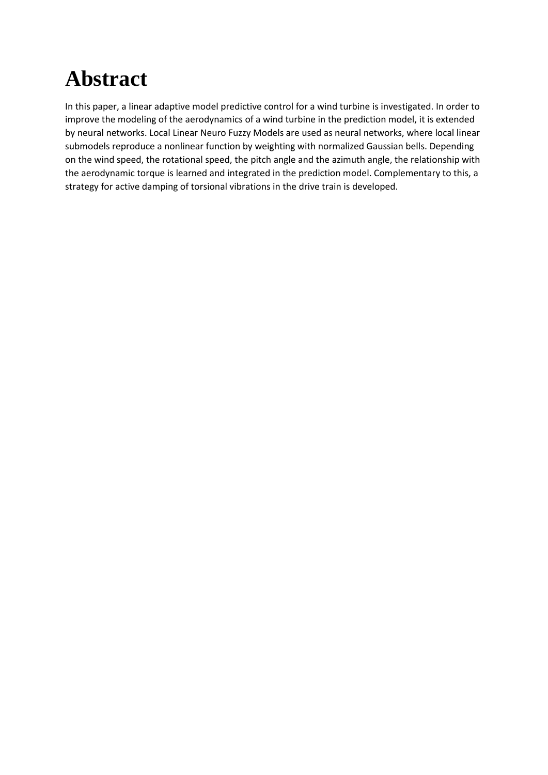## **Abstract**

In this paper, a linear adaptive model predictive control for a wind turbine is investigated. In order to improve the modeling of the aerodynamics of a wind turbine in the prediction model, it is extended by neural networks. Local Linear Neuro Fuzzy Models are used as neural networks, where local linear submodels reproduce a nonlinear function by weighting with normalized Gaussian bells. Depending on the wind speed, the rotational speed, the pitch angle and the azimuth angle, the relationship with the aerodynamic torque is learned and integrated in the prediction model. Complementary to this, a strategy for active damping of torsional vibrations in the drive train is developed.